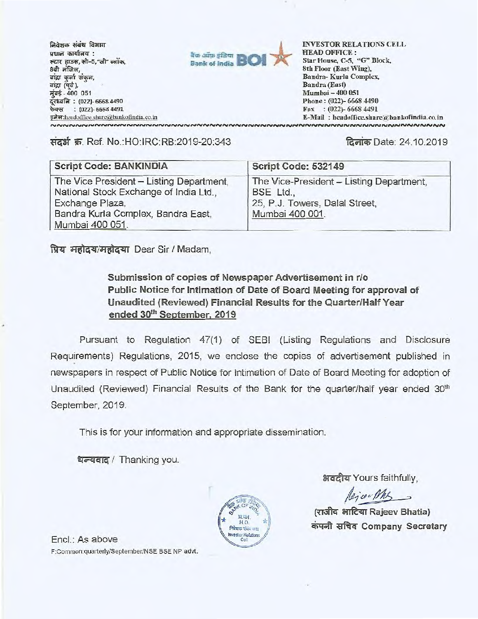निवेशक संबंध विभाग<br>प्रधान कार्यालय : स्टार हाउस, सी-5,"जी" ब्लॉक, 8वी मंजिल, .<br>संकुल, बांद्रा (पूर्व), मुंबई - 400 051 दरध्वनि: (022)- 6668 4490 फेक्स : (022)- 6668 4491 VAW:headoffice.share(d,bankofindia.co.in



**INVESTOR RELATIONS CELL HEAD OFFICE : Star House, C-5, "G" Block, 8th Floor (East Wing), Bandra- Kurla Complex, Bandra (East) Mumbai — 400 051 Phone : (022)- 6668 4490 Fax : (022)- 6668 4491 E-Mail : hea dolEce. s h areo)ban kofindi a. co. i n** 

## संदर्भ क्र. Ref. No.:HO:IRC:RB:2019-20:343

fasruch Date: 24.10.2019

| <b>Script Code: BANKINDIA</b>                                                                                                                                  | Script Code: 532149                                                                                        |
|----------------------------------------------------------------------------------------------------------------------------------------------------------------|------------------------------------------------------------------------------------------------------------|
| The Vice President - Listing Department,<br>National Stock Exchange of India Ltd.,<br>Exchange Plaza,<br>Bandra Kurla Complex, Bandra East,<br>Mumbai 400 051. | The Vice-President - Listing Department,<br>BSE Ltd.,<br>25, P.J. Towers, Dalal Street,<br>Mumbai 400 001. |

प्रिय महोदय/महोदया Dear Sir / Madam,

## **Submission of copies of Newspaper Advertisement in r/o Public Notice for Intimation of Date of Board Meeting for approval of Unaudited (Reviewed) Financial Results for the Quarter/Half Year**  ended 30<sup>th</sup> September, 2019

Pursuant to Regulation 47(1) of SEBI (Listing Regulations and Disclosure Requirements) Regulations, 2015, we enclose the copies of advertisement published in newspapers in respect of Public Notice for Intimation of Date of Board Meeting for adoption of Unaudited (Reviewed) Financial Results of the Bank for the quarter/half year ended 30<sup>th</sup> September, 2019.

This is for yciur information and appropriate dissemination.

धन्यवाद / Thanking you.

भवदीय Yours faithfully,

lesier Mrs -

**alritzIT Rajeev Bhatia) weft' tact Company Secretary** 

End.: As above F:Common:quarterly/September/NSE BSE NP **advt.**